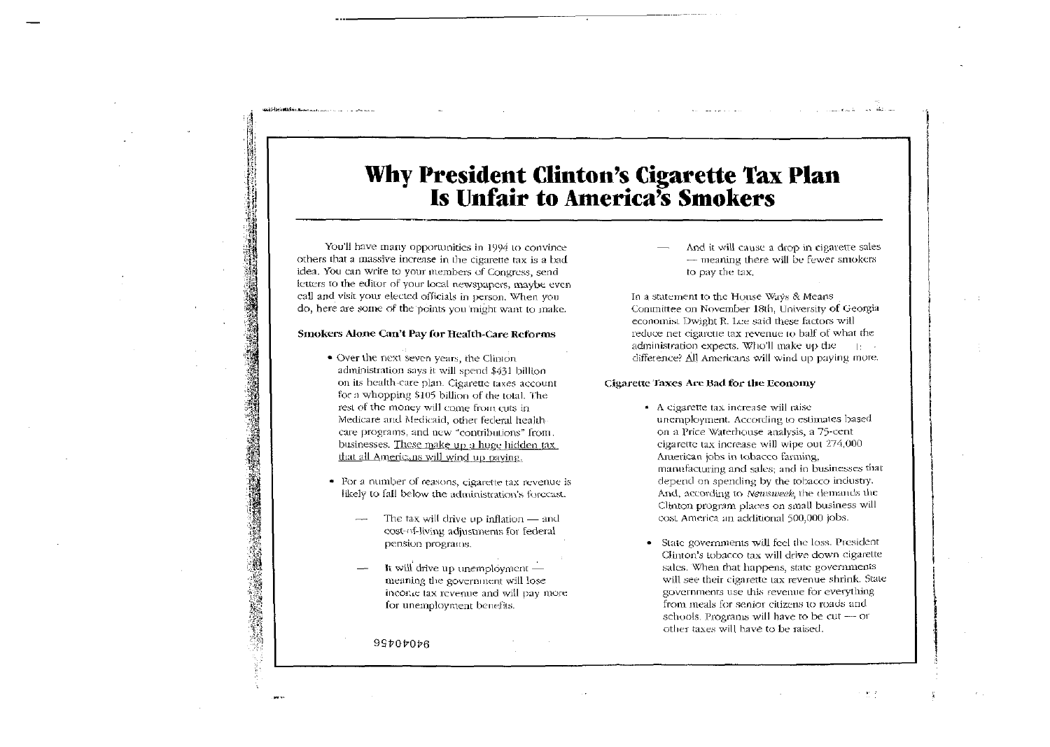# Why President Clinton's Cigarette Tax Plan<br>Is Unfair to America's Smokers

You'll have many opportunities in 1994 to convince others that a massive increase in the cigarette tax is a bad idea. You can write to your members of Congress, send letters to the editor of your local newspapers, maybe even call and visit your elected officials in person. When you do, here are some of the points you might want to make.

## Smokers Alone Can't Pay for Health-Care Reforms

- Over the next seven years, the Clinton administration says it will spend \$431 billion on its health-care plan. Cigarette taxes account for a whopping \$105 billion of the total. The rest of the money will come from cuts in Medicare and Medicaid, other federal healthcare programs, and new "contributions" from. businesses. These make up a huge hidden tax. that all Americans will wind up paying.
- For a number of reasons, cigarette tax revenue is likely to fall below the administration's forceast.
	- The tax will drive up inflation and cost-of-living adjustments for federal pension programs.
	- It will drive up unemployment meaning the government will lose income tax revenue and will pay more for unemployment benefits.

99707076

And it will cause a drop in cigarette sales  $-$  meaning there will be fewer smokers to pay the tax.

In a statement to the House Ways & Means Committee on November 18th, University of Georgia economist Dwight R. Lee said these factors will reduce net cigarette tax revenue to half of what the administration expects. Who'll make up the  $\|\cdot\|=\infty$ difference? All Americans will wind up paying more.

### Cigarette Taxes Are Bad for the Economy

- A cigarette tax increase will raise unemployment. According to estimates based on a Price Waterhouse analysis, a 75-cent cigarette tax increase will wipe out 274,000 American jobs in tobacco farming, manufacturing and sales; and in businesses that depend on spending by the tobacco industry. And, according to Newsweek, the demands the Clinton program places on small business will cost America an additional 500,000 jobs.
- State governments will feel the loss. President Clinton's tobacco tax will drive down cigarette sales. When that happens, state governments will see their cigarette tax revenue shrink. State governments use this revenue for everything from meals for senior citizens to roads and schools. Programs will have to be cut - or other taxes will have to be raised.